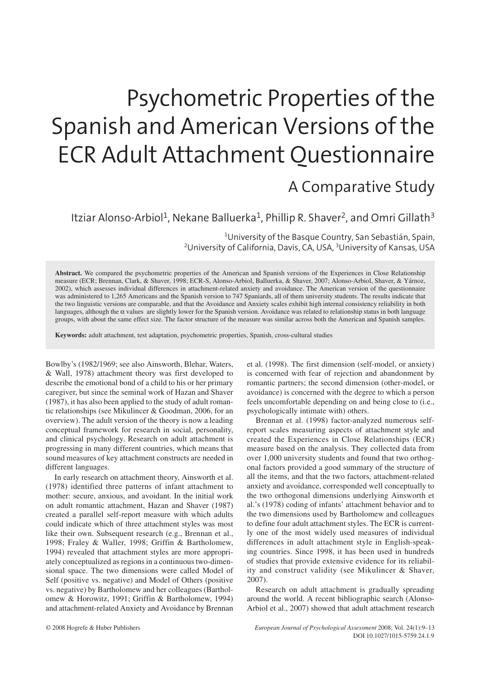# Psychometric Properties of the Spanish and American Versions of the ECR Adult Attachment Questionnaire

# A Comparative Study

Itziar Alonso-Arbiol<sup>1</sup>, Nekane Balluerka<sup>1</sup>, Phillip R. Shaver<sup>2</sup>, and Omri Gillath<sup>3</sup>

 $^{\rm 1}$ University of the Basque Country, San Sebastián, Spain, <sup>2</sup>University of California, Davis, CA, USA, <sup>3</sup>University of Kansas, USA

**Abstract.** We compared the psychometric properties of the American and Spanish versions of the Experiences in Close Relationship measure (ECR; Brennan, Clark, & Shaver, 1998; ECR-S, Alonso-Arbiol, Balluerka, & Shaver, 2007; Alonso-Arbiol, Shaver, & Yárnoz, 2002), which assesses individual differences in attachment-related anxiety and avoidance. The American version of the questionnaire was administered to 1,265 Americans and the Spanish version to 747 Spaniards, all of them university students. The results indicate that the two linguistic versions are comparable, and that the Avoidance and Anxiety scales exhibit high internal consistency reliability in both languages, although the  $\alpha$  values are slightly lower for the Spanish version. Avoidance was related to relationship status in both language groups, with about the same effect size. The factor structure of the measure was similar across both the American and Spanish samples.

**Keywords:** adult attachment, test adaptation, psychometric properties, Spanish, cross-cultural studies

Bowlby's (1982/1969; see also Ainsworth, Blehar, Waters, & Wall, 1978) attachment theory was first developed to describe the emotional bond of a child to his or her primary caregiver, but since the seminal work of Hazan and Shaver (1987), it has also been applied to the study of adult romantic relationships (see Mikulincer & Goodman, 2006, for an overview). The adult version of the theory is now a leading conceptual framework for research in social, personality, and clinical psychology. Research on adult attachment is progressing in many different countries, which means that sound measures of key attachment constructs are needed in different languages.

In early research on attachment theory, Ainsworth et al. (1978) identified three patterns of infant attachment to mother: secure, anxious, and avoidant. In the initial work on adult romantic attachment, Hazan and Shaver (1987) created a parallel self-report measure with which adults could indicate which of three attachment styles was most like their own. Subsequent research (e.g., Brennan et al., 1998; Fraley & Waller, 1998; Griffin & Bartholomew, 1994) revealed that attachment styles are more appropriately conceptualized as regions in a continuous two-dimensional space. The two dimensions were called Model of Self (positive vs. negative) and Model of Others (positive vs. negative) by Bartholomew and her colleagues (Bartholomew & Horowitz, 1991; Griffin & Bartholomew, 1994) and attachment-related Anxiety and Avoidance by Brennan et al. (1998). The first dimension (self-model, or anxiety) is concerned with fear of rejection and abandonment by romantic partners; the second dimension (other-model, or avoidance) is concerned with the degree to which a person feels uncomfortable depending on and being close to (i.e., psychologically intimate with) others.

Brennan et al. (1998) factor-analyzed numerous selfreport scales measuring aspects of attachment style and created the Experiences in Close Relationships (ECR) measure based on the analysis. They collected data from over 1,000 university students and found that two orthogonal factors provided a good summary of the structure of all the items, and that the two factors, attachment-related anxiety and avoidance, corresponded well conceptually to the two orthogonal dimensions underlying Ainsworth et al.'s (1978) coding of infants' attachment behavior and to the two dimensions used by Bartholomew and colleagues to define four adult attachment styles. The ECR is currently one of the most widely used measures of individual differences in adult attachment style in English-speaking countries. Since 1998, it has been used in hundreds of studies that provide extensive evidence for its reliability and construct validity (see Mikulincer & Shaver, 2007).

Research on adult attachment is gradually spreading around the world. A recent bibliographic search (Alonso-Arbiol et al., 2007) showed that adult attachment research

DOI 10.1027/1015-5759.24.1.9 © 2008 Hogrefe & Huber Publishers *European Journal of Psychological Assessment* 2008; Vol. 24(1):9–13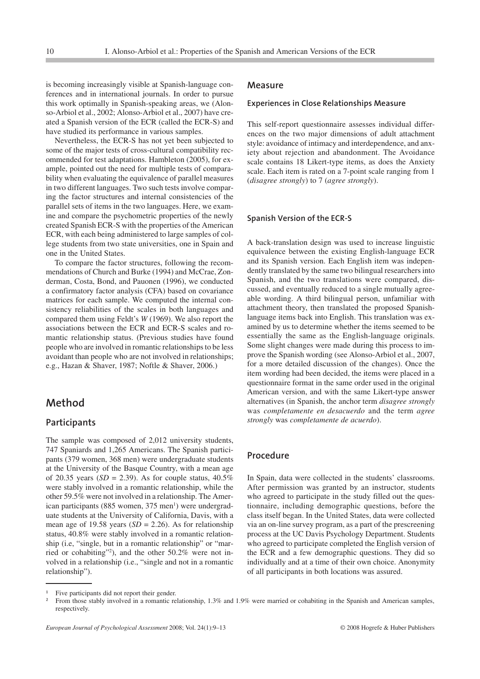is becoming increasingly visible at Spanish-language conferences and in international journals. In order to pursue this work optimally in Spanish-speaking areas, we (Alonso-Arbiol et al., 2002; Alonso-Arbiol et al., 2007) have created a Spanish version of the ECR (called the ECR-S) and have studied its performance in various samples.

Nevertheless, the ECR-S has not yet been subjected to some of the major tests of cross-cultural compatibility recommended for test adaptations. Hambleton (2005), for example, pointed out the need for multiple tests of comparability when evaluating the equivalence of parallel measures in two different languages. Two such tests involve comparing the factor structures and internal consistencies of the parallel sets of items in the two languages. Here, we examine and compare the psychometric properties of the newly created Spanish ECR-S with the properties of the American ECR, with each being administered to large samples of college students from two state universities, one in Spain and one in the United States.

To compare the factor structures, following the recommendations of Church and Burke (1994) and McCrae, Zonderman, Costa, Bond, and Pauonen (1996), we conducted a confirmatory factor analysis (CFA) based on covariance matrices for each sample. We computed the internal consistency reliabilities of the scales in both languages and compared them using Feldt's *W* (1969). We also report the associations between the ECR and ECR-S scales and romantic relationship status. (Previous studies have found people who are involved in romantic relationships to be less avoidant than people who are not involved in relationships; e.g., Hazan & Shaver, 1987; Noftle & Shaver, 2006.)

# **Method**

# **Participants**

The sample was composed of 2,012 university students, 747 Spaniards and 1,265 Americans. The Spanish participants (379 women, 368 men) were undergraduate students at the University of the Basque Country, with a mean age of 20.35 years (*SD* = 2.39). As for couple status, 40.5% were stably involved in a romantic relationship, while the other 59.5% were not involved in a relationship. The American participants (885 women, 375 men<sup>1</sup>) were undergraduate students at the University of California, Davis, with a mean age of 19.58 years (*SD* = 2.26). As for relationship status, 40.8% were stably involved in a romantic relationship (i.e, "single, but in a romantic relationship" or "married or cohabiting"2 ), and the other 50.2% were not involved in a relationship (i.e., "single and not in a romantic relationship").

#### **Measure**

#### **Experiences in Close Relationships Measure**

This self-report questionnaire assesses individual differences on the two major dimensions of adult attachment style: avoidance of intimacy and interdependence, and anxiety about rejection and abandonment. The Avoidance scale contains 18 Likert-type items, as does the Anxiety scale. Each item is rated on a 7-point scale ranging from 1 (*disagree strongly*) to 7 (*agree strongly*).

#### **Spanish Version of the ECR-S**

A back-translation design was used to increase linguistic equivalence between the existing English-language ECR and its Spanish version. Each English item was independently translated by the same two bilingual researchers into Spanish, and the two translations were compared, discussed, and eventually reduced to a single mutually agreeable wording. A third bilingual person, unfamiliar with attachment theory, then translated the proposed Spanishlanguage items back into English. This translation was examined by us to determine whether the items seemed to be essentially the same as the English-language originals. Some slight changes were made during this process to improve the Spanish wording (see Alonso-Arbiol et al., 2007, for a more detailed discussion of the changes). Once the item wording had been decided, the items were placed in a questionnaire format in the same order used in the original American version, and with the same Likert-type answer alternatives (in Spanish, the anchor term *disagree strongly* was *completamente en desacuerdo* and the term *agree strongly* was *completamente de acuerdo*).

# **Procedure**

In Spain, data were collected in the students' classrooms. After permission was granted by an instructor, students who agreed to participate in the study filled out the questionnaire, including demographic questions, before the class itself began. In the United States, data were collected via an on-line survey program, as a part of the prescreening process at the UC Davis Psychology Department. Students who agreed to participate completed the English version of the ECR and a few demographic questions. They did so individually and at a time of their own choice. Anonymity of all participants in both locations was assured.

<sup>-</sup>Five participants did not report their gender.

From those stably involved in a romantic relationship, 1.3% and 1.9% were married or cohabiting in the Spanish and American samples, respectively.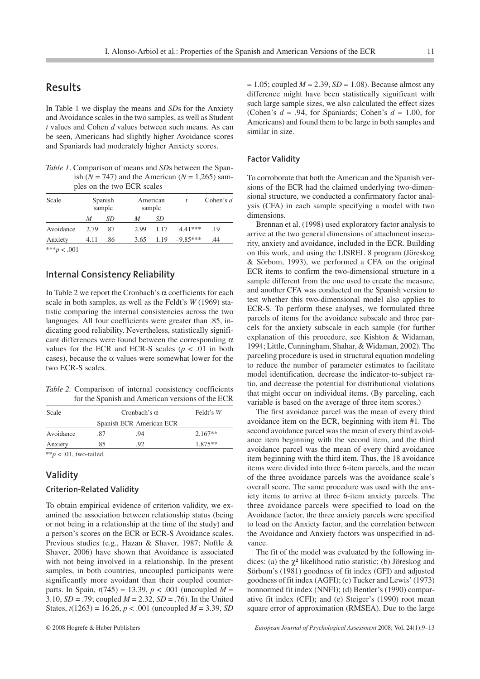# **Results**

In Table 1 we display the means and *SD*s for the Anxiety and Avoidance scales in the two samples, as well as Student *t* values and Cohen *d* values between such means. As can be seen, Americans had slightly higher Avoidance scores and Spaniards had moderately higher Anxiety scores.

*Table 1*. Comparison of means and *SD*s between the Spanish  $(N = 747)$  and the American  $(N = 1,265)$  samples on the two ECR scales

| Scale          | Spanish<br>sample |     |      | American<br>sample |            | Cohen's $d$ |
|----------------|-------------------|-----|------|--------------------|------------|-------------|
|                | M                 | SD  | M    | SD                 |            |             |
| Avoidance      | 2.79              | .87 | 2.99 | 1.17               | $4.41***$  | .19         |
| Anxiety        | 4.11              | .86 | 3.65 | 1.19               | $-9.85***$ | .44         |
| *** $p < .001$ |                   |     |      |                    |            |             |

# **Internal Consistency Reliability**

In Table 2 we report the Cronbach's  $\alpha$  coefficients for each scale in both samples, as well as the Feldt's *W* (1969) statistic comparing the internal consistencies across the two languages. All four coefficients were greater than .85, indicating good reliability. Nevertheless, statistically significant differences were found between the corresponding  $\alpha$ values for the ECR and ECR-S scales ( $p < .01$  in both cases), because the  $\alpha$  values were somewhat lower for the two ECR-S scales.

*Table 2.* Comparison of internal consistency coefficients for the Spanish and American versions of the ECR

| Scale                      | Cronbach's $\alpha$ |     | Feldt's $W$ |  |  |  |
|----------------------------|---------------------|-----|-------------|--|--|--|
| Spanish ECR American ECR   |                     |     |             |  |  |  |
| Avoidance                  | .87                 | .94 | $2.167**$   |  |  |  |
| Anxiety                    | .85                 | .92 | $1.875**$   |  |  |  |
| ** $p < .01$ , two-tailed. |                     |     |             |  |  |  |

## **Validity**

### **Criterion-Related Validity**

To obtain empirical evidence of criterion validity, we examined the association between relationship status (being or not being in a relationship at the time of the study) and a person's scores on the ECR or ECR-S Avoidance scales. Previous studies (e.g., Hazan & Shaver, 1987; Noftle & Shaver, 2006) have shown that Avoidance is associated with not being involved in a relationship. In the present samples, in both countries, uncoupled participants were significantly more avoidant than their coupled counterparts. In Spain,  $t(745) = 13.39, p < .001$  (uncoupled  $M =$ 3.10, *SD* = .79; coupled *M* = 2.32, *SD* = .76). In the United States,  $t(1263) = 16.26$ ,  $p < .001$  (uncoupled  $M = 3.39$ , SD

 $= 1.05$ ; coupled  $M = 2.39$ ,  $SD = 1.08$ ). Because almost any difference might have been statistically significant with such large sample sizes, we also calculated the effect sizes (Cohen's  $d = .94$ , for Spaniards; Cohen's  $d = 1.00$ , for Americans) and found them to be large in both samples and similar in size.

#### **Factor Validity**

To corroborate that both the American and the Spanish versions of the ECR had the claimed underlying two-dimensional structure, we conducted a confirmatory factor analysis (CFA) in each sample specifying a model with two dimensions.

Brennan et al. (1998) used exploratory factor analysis to arrive at the two general dimensions of attachment insecurity, anxiety and avoidance, included in the ECR. Building on this work, and using the LISREL 8 program (Jöreskog & Sörbom, 1993), we performed a CFA on the original ECR items to confirm the two-dimensional structure in a sample different from the one used to create the measure, and another CFA was conducted on the Spanish version to test whether this two-dimensional model also applies to ECR-S. To perform these analyses, we formulated three parcels of items for the avoidance subscale and three parcels for the anxiety subscale in each sample (for further explanation of this procedure, see Kishton & Widaman, 1994; Little, Cunningham, Shahar, & Widaman, 2002). The parceling procedure is used in structural equation modeling to reduce the number of parameter estimates to facilitate model identification, decrease the indicator-to-subject ratio, and decrease the potential for distributional violations that might occur on individual items. (By parceling, each variable is based on the average of three item scores.)

The first avoidance parcel was the mean of every third avoidance item on the ECR, beginning with item #1. The second avoidance parcel was the mean of every third avoidance item beginning with the second item, and the third avoidance parcel was the mean of every third avoidance item beginning with the third item. Thus, the 18 avoidance items were divided into three 6-item parcels, and the mean of the three avoidance parcels was the avoidance scale's overall score. The same procedure was used with the anxiety items to arrive at three 6-item anxiety parcels. The three avoidance parcels were specified to load on the Avoidance factor, the three anxiety parcels were specified to load on the Anxiety factor, and the correlation between the Avoidance and Anxiety factors was unspecified in advance.

The fit of the model was evaluated by the following indices: (a) the  $\chi^2$  likelihood ratio statistic; (b) Jöreskog and Sörbom's (1981) goodness of fit index (GFI) and adjusted goodness of fit index (AGFI); (c) Tucker and Lewis' (1973) nonnormed fit index (NNFI); (d) Bentler's (1990) comparative fit index (CFI); and (e) Steiger's (1990) root mean square error of approximation (RMSEA). Due to the large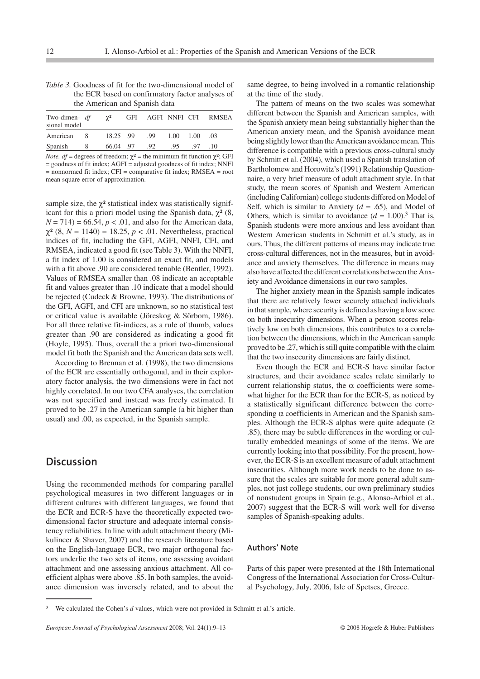| <i>Table 3.</i> Goodness of fit for the two-dimensional model of |  |
|------------------------------------------------------------------|--|
| the ECR based on confirmatory factor analyses of                 |  |
| the American and Spanish data                                    |  |

| Two-dimen- $df$<br>sional model |     | $\gamma^2$ |     |           |      | GFI AGFI NNFI CFI RMSEA |
|---------------------------------|-----|------------|-----|-----------|------|-------------------------|
| American                        | 8   | 18.25 .99  | .99 | 1.00 1.00 |      | - 03                    |
| Spanish                         | - 8 | 66.04 .97  | .92 | .95       | - 97 | .10                     |

*Note. df* = degrees of freedom;  $\chi^2$  = the minimum fit function  $\chi^2$ ; GFI = goodness of fit index; AGFI = adjusted goodness of fit index; NNFI = nonnormed fit index; CFI = comparative fit index; RMSEA = root mean square error of approximation.

sample size, the  $\chi^2$  statistical index was statistically significant for this a priori model using the Spanish data,  $\chi^2$  (8,  $N = 714$ ) = 66.54,  $p < .01$ , and also for the American data,  $\chi^2$  (8, *N* = 1140) = 18.25, *p* < .01. Nevertheless, practical indices of fit, including the GFI, AGFI, NNFI, CFI, and RMSEA, indicated a good fit (see Table 3). With the NNFI, a fit index of 1.00 is considered an exact fit, and models with a fit above .90 are considered tenable (Bentler, 1992). Values of RMSEA smaller than .08 indicate an acceptable fit and values greater than .10 indicate that a model should be rejected (Cudeck & Browne, 1993). The distributions of the GFI, AGFI, and CFI are unknown, so no statistical test or critical value is available (Jöreskog & Sörbom, 1986). For all three relative fit-indices, as a rule of thumb, values greater than .90 are considered as indicating a good fit (Hoyle, 1995). Thus, overall the a priori two-dimensional model fit both the Spanish and the American data sets well.

According to Brennan et al. (1998), the two dimensions of the ECR are essentially orthogonal, and in their exploratory factor analysis, the two dimensions were in fact not highly correlated. In our two CFA analyses, the correlation was not specified and instead was freely estimated. It proved to be .27 in the American sample (a bit higher than usual) and .00, as expected, in the Spanish sample.

# **Discussion**

Using the recommended methods for comparing parallel psychological measures in two different languages or in different cultures with different languages, we found that the ECR and ECR-S have the theoretically expected twodimensional factor structure and adequate internal consistency reliabilities. In line with adult attachment theory (Mikulincer & Shaver, 2007) and the research literature based on the English-language ECR, two major orthogonal factors underlie the two sets of items, one assessing avoidant attachment and one assessing anxious attachment. All coefficient alphas were above .85. In both samples, the avoidance dimension was inversely related, and to about the same degree, to being involved in a romantic relationship at the time of the study.

The pattern of means on the two scales was somewhat different between the Spanish and American samples, with the Spanish anxiety mean being substantially higher than the American anxiety mean, and the Spanish avoidance mean being slightly lower than the American avoidance mean. This difference is compatible with a previous cross-cultural study by Schmitt et al. (2004), which used a Spanish translation of Bartholomew and Horowitz's (1991) Relationship Questionnaire, a very brief measure of adult attachment style. In that study, the mean scores of Spanish and Western American (including Californian) college students differed on Model of Self, which is similar to Anxiety  $(d = .65)$ , and Model of Others, which is similar to avoidance  $(d = 1.00)^3$ .<sup>3</sup> That is, Spanish students were more anxious and less avoidant than Western American students in Schmitt et al.'s study, as in ours. Thus, the different patterns of means may indicate true cross-cultural differences, not in the measures, but in avoidance and anxiety themselves. The difference in means may also have affected the different correlations between the Anxiety and Avoidance dimensions in our two samples.

The higher anxiety mean in the Spanish sample indicates that there are relatively fewer securely attached individuals in that sample, where security is defined as having a low score on both insecurity dimensions. When a person scores relatively low on both dimensions, this contributes to a correlation between the dimensions, which in the American sample proved to be .27, which is still quite compatible with the claim that the two insecurity dimensions are fairly distinct.

Even though the ECR and ECR-S have similar factor structures, and their avoidance scales relate similarly to current relationship status, the  $\alpha$  coefficients were somewhat higher for the ECR than for the ECR-S, as noticed by a statistically significant difference between the corresponding  $\alpha$  coefficients in American and the Spanish samples. Although the ECR-S alphas were quite adequate  $(\geq$ .85), there may be subtle differences in the wording or culturally embedded meanings of some of the items. We are currently looking into that possibility. For the present, however, the ECR-S is an excellent measure of adult attachment insecurities. Although more work needs to be done to assure that the scales are suitable for more general adult samples, not just college students, our own preliminary studies of nonstudent groups in Spain (e.g., Alonso-Arbiol et al., 2007) suggest that the ECR-S will work well for diverse samples of Spanish-speaking adults.

#### **Authors' Note**

Parts of this paper were presented at the 18th International Congress of the International Association for Cross-Cultural Psychology, July, 2006, Isle of Spetses, Greece.

We calculated the Cohen's *d* values, which were not provided in Schmitt et al.'s article.